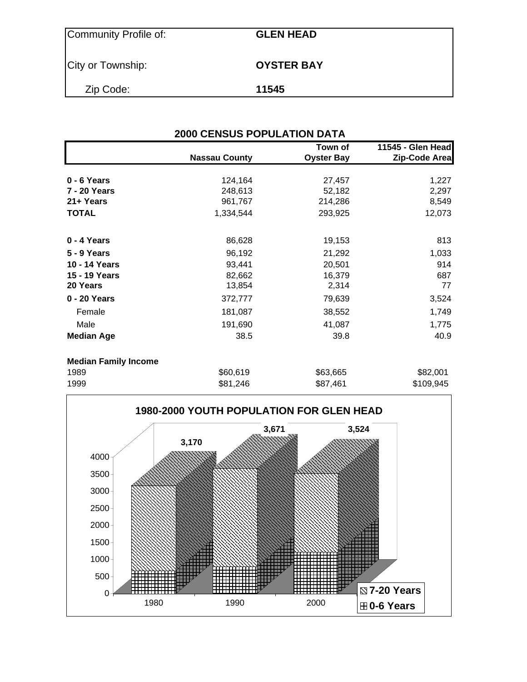| Community Profile of: | <b>GLEN HEAD</b>  |
|-----------------------|-------------------|
| City or Township:     | <b>OYSTER BAY</b> |
| Zip Code:             | 11545             |

|                             | <b>2000 CENSUS POPULATION DATA</b> |                              |                                    |
|-----------------------------|------------------------------------|------------------------------|------------------------------------|
|                             | <b>Nassau County</b>               | Town of<br><b>Oyster Bay</b> | 11545 - Glen Head<br>Zip-Code Area |
| 0 - 6 Years                 | 124,164                            | 27,457                       | 1,227                              |
| 7 - 20 Years                | 248,613                            | 52,182                       | 2,297                              |
| 21+ Years                   | 961,767                            | 214,286                      | 8,549                              |
| <b>TOTAL</b>                | 1,334,544                          | 293,925                      | 12,073                             |
| 0 - 4 Years                 | 86,628                             | 19,153                       | 813                                |
| <b>5 - 9 Years</b>          | 96,192                             | 21,292                       | 1,033                              |
| 10 - 14 Years               | 93,441                             | 20,501                       | 914                                |
| 15 - 19 Years               | 82,662                             | 16,379                       | 687                                |
| 20 Years                    | 13,854                             | 2,314                        | 77                                 |
| 0 - 20 Years                | 372,777                            | 79,639                       | 3,524                              |
| Female                      | 181,087                            | 38,552                       | 1,749                              |
| Male                        | 191,690                            | 41,087                       | 1,775                              |
| <b>Median Age</b>           | 38.5                               | 39.8                         | 40.9                               |
| <b>Median Family Income</b> |                                    |                              |                                    |
| 1989                        | \$60,619                           | \$63,665                     | \$82,001                           |
| 1999                        | \$81,246                           | \$87,461                     | \$109,945                          |

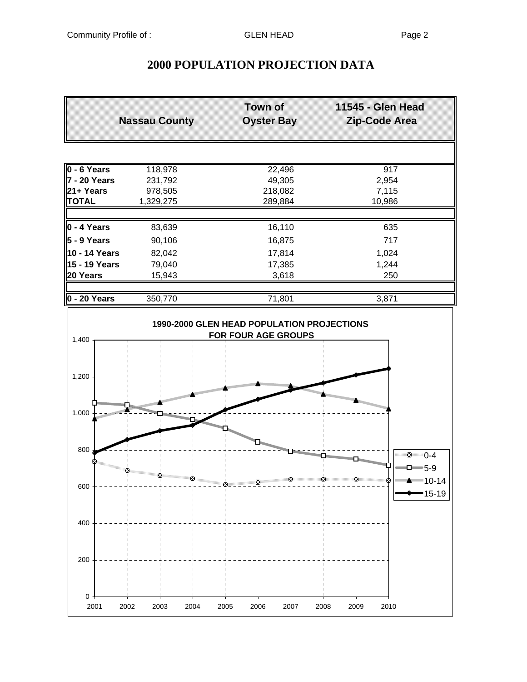## **2000 POPULATION PROJECTION DATA**

|                                                                                                                                                                                                                                                                                                                                                                                                                                                  | <b>Nassau County</b>                                                                                            | <b>Town of</b><br><b>Oyster Bay</b>                               | 11545 - Glen Head<br>Zip-Code Area                      |
|--------------------------------------------------------------------------------------------------------------------------------------------------------------------------------------------------------------------------------------------------------------------------------------------------------------------------------------------------------------------------------------------------------------------------------------------------|-----------------------------------------------------------------------------------------------------------------|-------------------------------------------------------------------|---------------------------------------------------------|
|                                                                                                                                                                                                                                                                                                                                                                                                                                                  |                                                                                                                 |                                                                   |                                                         |
| 0 - 6 Years                                                                                                                                                                                                                                                                                                                                                                                                                                      | 118,978                                                                                                         | 22,496                                                            | $\overline{917}$                                        |
| <b>7 - 20 Years</b>                                                                                                                                                                                                                                                                                                                                                                                                                              | 231,792                                                                                                         | 49,305                                                            | 2,954                                                   |
| 21+ Years                                                                                                                                                                                                                                                                                                                                                                                                                                        | 978,505                                                                                                         | 218,082                                                           | 7,115                                                   |
| <b>TOTAL</b>                                                                                                                                                                                                                                                                                                                                                                                                                                     | 1,329,275                                                                                                       | 289,884                                                           | 10,986                                                  |
| $0 - 4$ Years                                                                                                                                                                                                                                                                                                                                                                                                                                    | 83,639                                                                                                          | 16,110                                                            | 635                                                     |
| 5 - 9 Years                                                                                                                                                                                                                                                                                                                                                                                                                                      | 90,106                                                                                                          | 16,875                                                            | 717                                                     |
| 10 - 14 Years                                                                                                                                                                                                                                                                                                                                                                                                                                    | 82,042                                                                                                          | 17,814                                                            | 1,024                                                   |
| 15 - 19 Years                                                                                                                                                                                                                                                                                                                                                                                                                                    | 79,040                                                                                                          | 17,385                                                            | 1,244                                                   |
| 20 Years                                                                                                                                                                                                                                                                                                                                                                                                                                         | 15,943                                                                                                          | 3,618                                                             | 250                                                     |
|                                                                                                                                                                                                                                                                                                                                                                                                                                                  |                                                                                                                 |                                                                   |                                                         |
| $0 - 20$ Years                                                                                                                                                                                                                                                                                                                                                                                                                                   | 350,770                                                                                                         | 71,801                                                            | 3,871                                                   |
| 1,400                                                                                                                                                                                                                                                                                                                                                                                                                                            |                                                                                                                 | 1990-2000 GLEN HEAD POPULATION PROJECTIONS<br>FOR FOUR AGE GROUPS |                                                         |
|                                                                                                                                                                                                                                                                                                                                                                                                                                                  |                                                                                                                 |                                                                   |                                                         |
| 1,200                                                                                                                                                                                                                                                                                                                                                                                                                                            | <b>Research Management</b><br><b>Residential Property and Service State</b><br><b>SECURITY OF REAL PROPERTY</b> | <b>SUBBOROUSE AND RELEASE</b>                                     | <b>Million Boundary Company</b>                         |
| 1,000<br>$\frac{1}{\sinh^2\left(\frac{1}{2}\right)}\leq \frac{1}{\sinh^2\left(\frac{1}{2}\right)}\leq \frac{1}{\sinh^2\left(\frac{1}{2}\right)}\leq \frac{1}{\sinh^2\left(\frac{1}{2}\right)}\leq \frac{1}{\sinh^2\left(\frac{1}{2}\right)}\leq \frac{1}{\sinh^2\left(\frac{1}{2}\right)}\leq \frac{1}{\sinh^2\left(\frac{1}{2}\right)}\leq \frac{1}{\sinh^2\left(\frac{1}{2}\right)}\leq \frac{1}{\sinh^2\left(\frac{1}{2}\right)}\leq \frac{1$ |                                                                                                                 |                                                                   |                                                         |
| 800                                                                                                                                                                                                                                                                                                                                                                                                                                              |                                                                                                                 |                                                                   | $\mathcal{F}$ $\mathcal{F}$ $\mathcal{F}$ $\mathcal{F}$ |

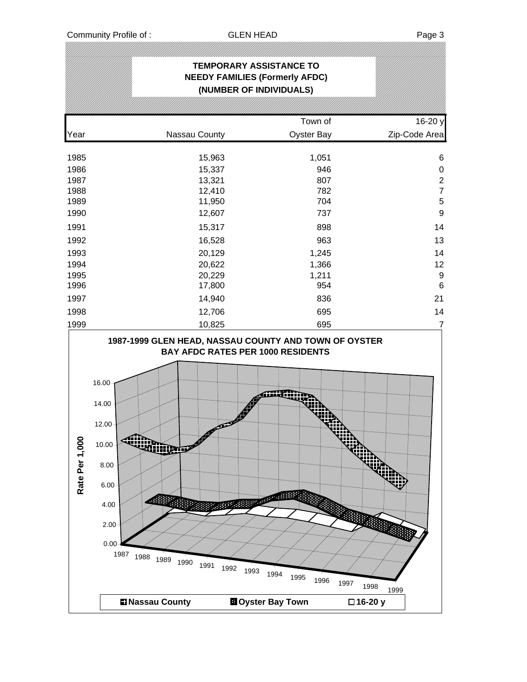|                    |                                                                                               |                                        | <b>TEMPORARY ASSISTANCE TO</b><br><b>NEEDY FAMILIES (Formerly AFDC)</b><br>(NUMBER OF INDIVIDUALS)       |                      |                  |
|--------------------|-----------------------------------------------------------------------------------------------|----------------------------------------|----------------------------------------------------------------------------------------------------------|----------------------|------------------|
|                    |                                                                                               |                                        |                                                                                                          |                      |                  |
|                    |                                                                                               |                                        |                                                                                                          | Town of              | 16-20 y          |
| Year               |                                                                                               | Nassau County                          |                                                                                                          | <b>Oyster Bay</b>    | Zip-Code Area    |
| 1985               |                                                                                               | 15,963                                 |                                                                                                          | 1,051                | 6                |
| 1986               |                                                                                               | 15,337                                 |                                                                                                          | 946                  | $\mathbf 0$      |
| 1987               |                                                                                               | 13,321                                 |                                                                                                          | 807                  |                  |
| 1988               |                                                                                               | 12,410                                 |                                                                                                          | 782                  | $\frac{2}{7}$    |
| 1989               |                                                                                               | 11,950                                 |                                                                                                          | 704                  | $\overline{5}$   |
| 1990               |                                                                                               | 12,607                                 |                                                                                                          | 737                  | 9                |
| 1991               |                                                                                               | 15,317                                 |                                                                                                          | 898                  | 14               |
| 1992               |                                                                                               | 16,528                                 |                                                                                                          | 963                  | 13               |
| 1993               |                                                                                               | 20,129                                 |                                                                                                          | 1,245                | 14               |
| 1994               |                                                                                               | 20,622                                 |                                                                                                          | 1,366                | 12               |
| 1995               |                                                                                               | 20,229                                 |                                                                                                          | 1,211                | 9                |
| 1996               |                                                                                               | 17,800                                 |                                                                                                          | 954                  | $\,6$            |
| 1997               |                                                                                               | 14,940                                 |                                                                                                          | 836                  | 21               |
| 1998               |                                                                                               | 12,706                                 |                                                                                                          | 695                  | 14               |
| 1999               |                                                                                               | 10,825                                 |                                                                                                          | 695                  | $\overline{7}$   |
| 0<br>Rate Per 1,00 | 16.00<br>14.00<br>12.00<br>10.00 <sub>1</sub><br>8.00<br>6.00<br>4.00<br>2.00<br>0.00<br>1987 | WINDOW<br>1988<br>1989<br>1990<br>1991 | <b>BAY AFDC RATES PER 1000 RESIDENTS</b><br><b>TIME</b><br><b>ROBERT SERVICE</b><br>1992<br>1993<br>1994 | 1995<br>1996<br>1997 | 1998             |
|                    |                                                                                               | <b>El Nassau County</b>                | <b>DOyster Bay Town</b>                                                                                  |                      | 1999<br>□16-20 y |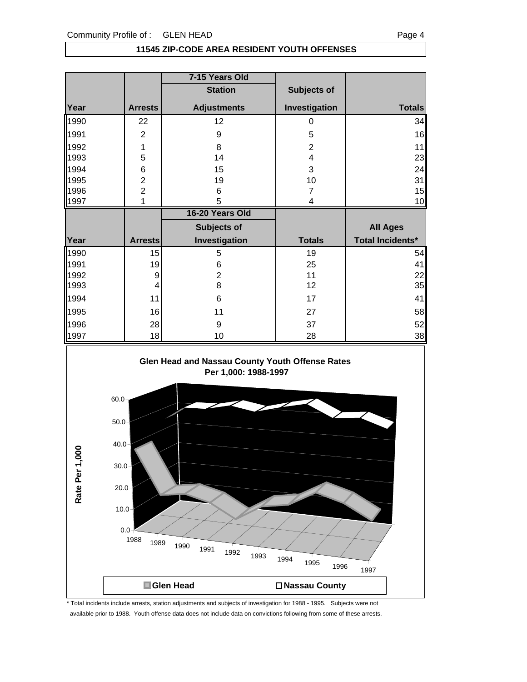#### **11545 ZIP-CODE AREA RESIDENT YOUTH OFFENSES**

|      |                | 7-15 Years Old     |                |                         |
|------|----------------|--------------------|----------------|-------------------------|
|      |                | <b>Station</b>     | Subjects of    |                         |
| Year | <b>Arrests</b> | <b>Adjustments</b> | Investigation  | <b>Totals</b>           |
| 1990 | 22             | 12                 | 0              | 34                      |
| 1991 | $\overline{2}$ | 9                  | 5              | 16                      |
| 1992 | 1              | 8                  | $\overline{2}$ | 11                      |
| 1993 | 5              | 14                 | 4              | 23                      |
| 1994 | $\,$ 6 $\,$    | 15                 | 3              | 24                      |
| 1995 | $\overline{2}$ | 19                 | 10             | 31                      |
| 1996 | $\overline{2}$ | 6                  | 7              | 15                      |
| 1997 | 1              | 5                  | 4              | 10                      |
|      |                |                    |                |                         |
|      |                | 16-20 Years Old    |                |                         |
|      |                | Subjects of        |                | <b>All Ages</b>         |
| Year | <b>Arrests</b> | Investigation      | <b>Totals</b>  | <b>Total Incidents*</b> |
| 1990 | 15             | 5                  | 19             |                         |
| 1991 | 19             | 6                  | 25             | 41                      |
| 1992 | 9              | $\overline{c}$     | 11             | 54<br>22                |
| 1993 | 4              | 8                  | 12             | 35                      |
| 1994 | 11             | 6                  | 17             | 41                      |
| 1995 | 16             | 11                 | 27             | 58                      |
| 1996 | 28             | 9                  | 37             | 52                      |



\* Total incidents include arrests, station adjustments and subjects of investigation for 1988 - 1995. Subjects were not available prior to 1988. Youth offense data does not include data on convictions following from some of these arrests.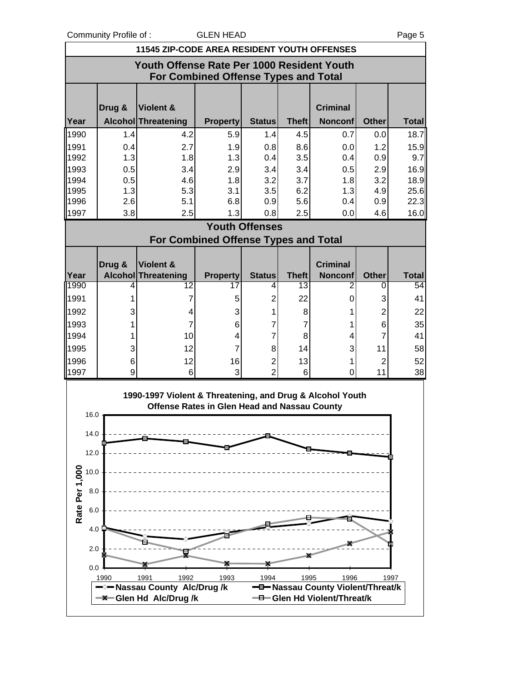Community Profile of : GLEN HEAD **COMMUNITY** Page 5

|                       | <b>11545 ZIP-CODE AREA RESIDENT YOUTH OFFENSES</b>                                        |                                                                                                           |                       |                       |                    |                                                                  |                   |                    |
|-----------------------|-------------------------------------------------------------------------------------------|-----------------------------------------------------------------------------------------------------------|-----------------------|-----------------------|--------------------|------------------------------------------------------------------|-------------------|--------------------|
|                       | Youth Offense Rate Per 1000 Resident Youth<br><b>For Combined Offense Types and Total</b> |                                                                                                           |                       |                       |                    |                                                                  |                   |                    |
|                       | Drug &                                                                                    | <b>Violent &amp;</b>                                                                                      |                       |                       |                    | <b>Criminal</b>                                                  |                   |                    |
| Year                  |                                                                                           | Alcohol Threatening                                                                                       | <b>Property</b>       | <b>Status</b>         | <b>Theft</b>       | <b>Nonconf</b>                                                   | <b>Other</b>      | <b>Total</b>       |
| 1990                  | 1.4                                                                                       | 4.2                                                                                                       | 5.9                   | 1.4                   | 4.5                | 0.7                                                              | 0.0               | 18.7               |
| 1991                  | 0.4                                                                                       | 2.7                                                                                                       | 1.9                   | 0.8                   | 8.6                | 0.0                                                              | 1.2               | 15.9               |
| 1992                  | 1.3                                                                                       | 1.8                                                                                                       | 1.3                   | 0.4                   | 3.5                | 0.4                                                              | 0.9               | 9.7                |
| 1993                  | 0.5                                                                                       | 3.4                                                                                                       | 2.9                   | 3.4                   | 3.4                | 0.5                                                              | 2.9               | 16.9               |
| 1994                  | 0.5                                                                                       | 4.6                                                                                                       | 1.8                   | 3.2                   | 3.7                | 1.8                                                              | 3.2               | 18.9               |
| 1995<br>1996          | 1.3<br>2.6                                                                                | 5.3<br>5.1                                                                                                | 3.1<br>6.8            | 3.5<br>0.9            | 6.2<br>5.6         | 1.3<br>0.4                                                       | 4.9<br>0.9        | 25.6<br>22.3       |
| 1997                  | 3.8                                                                                       | 2.5                                                                                                       | 1.3                   | 0.8                   | 2.5                | 0.0                                                              | 4.6               | 16.0               |
|                       |                                                                                           |                                                                                                           |                       | <b>Youth Offenses</b> |                    |                                                                  |                   |                    |
|                       |                                                                                           | <b>For Combined Offense Types and Total</b>                                                               |                       |                       |                    |                                                                  |                   |                    |
|                       |                                                                                           |                                                                                                           |                       |                       |                    |                                                                  |                   |                    |
|                       | Drug &                                                                                    | <b>Violent &amp;</b>                                                                                      |                       |                       |                    | <b>Criminal</b>                                                  |                   |                    |
| Year<br>1990          | 4                                                                                         | Alcohol Threatening<br>12                                                                                 | <b>Property</b><br>17 | <b>Status</b><br>4    | <b>Theft</b><br>13 | <b>Nonconf</b><br>2                                              | <b>Other</b><br>0 | <b>Total</b><br>54 |
| 1991                  | 1                                                                                         | 7                                                                                                         | 5                     | $\overline{2}$        | 22                 | 0                                                                | 3                 | 41                 |
| 1992                  | 3                                                                                         | 4                                                                                                         | 3                     | 1                     | 8                  | 1                                                                | 2                 | 22                 |
| 1993                  | 1                                                                                         | 7                                                                                                         | 6                     | 7                     | 7                  | 1                                                                | 6                 | 35                 |
| 1994                  | 1                                                                                         | 10                                                                                                        | 4                     | 7                     | 8                  | 4                                                                | 7                 | 41                 |
| 1995                  | 3                                                                                         | 12                                                                                                        | $\overline{7}$        | 8                     | 14                 | 3                                                                | 11                | 58                 |
| 1996                  | 6                                                                                         | 12                                                                                                        | 16                    | $\overline{c}$        | 13                 | 1                                                                | $\overline{2}$    | 52                 |
| 1997                  | 9                                                                                         | 6                                                                                                         | 3                     | $\overline{2}$        | 6                  | 0                                                                | 11                | 38                 |
| 16.0                  |                                                                                           | 1990-1997 Violent & Threatening, and Drug & Alcohol Youth<br>Offense Rates in Glen Head and Nassau County |                       |                       |                    |                                                                  |                   |                    |
| 14.0                  |                                                                                           |                                                                                                           |                       |                       |                    |                                                                  |                   |                    |
| 12.0                  |                                                                                           |                                                                                                           |                       |                       |                    |                                                                  |                   |                    |
| 10.0                  |                                                                                           |                                                                                                           |                       |                       |                    |                                                                  |                   |                    |
| 8.0                   |                                                                                           |                                                                                                           |                       |                       |                    |                                                                  |                   |                    |
| Rate Per 1,000<br>6.0 |                                                                                           |                                                                                                           |                       |                       |                    |                                                                  |                   |                    |
| 4.0                   |                                                                                           |                                                                                                           |                       |                       |                    |                                                                  |                   |                    |
| 2.0                   |                                                                                           |                                                                                                           |                       |                       |                    |                                                                  |                   |                    |
| 0.0                   |                                                                                           |                                                                                                           |                       |                       |                    |                                                                  |                   |                    |
|                       | 1990                                                                                      | 1991<br>1992                                                                                              | 1993                  | 1994                  | 1995               | 1996                                                             |                   | 1997               |
|                       |                                                                                           |                                                                                                           |                       |                       |                    |                                                                  |                   |                    |
|                       |                                                                                           | -2- Nassau County Alc/Drug /k<br>-X-Glen Hd Alc/Drug /k                                                   |                       |                       |                    | -D-Nassau County Violent/Threat/k<br>-0-Glen Hd Violent/Threat/k |                   |                    |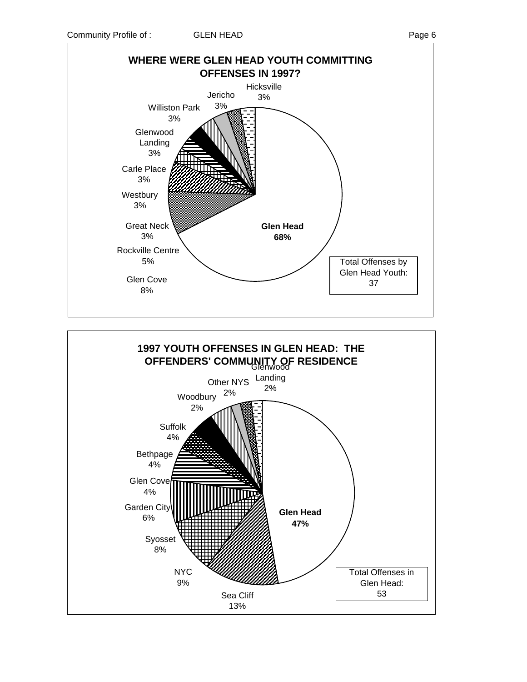

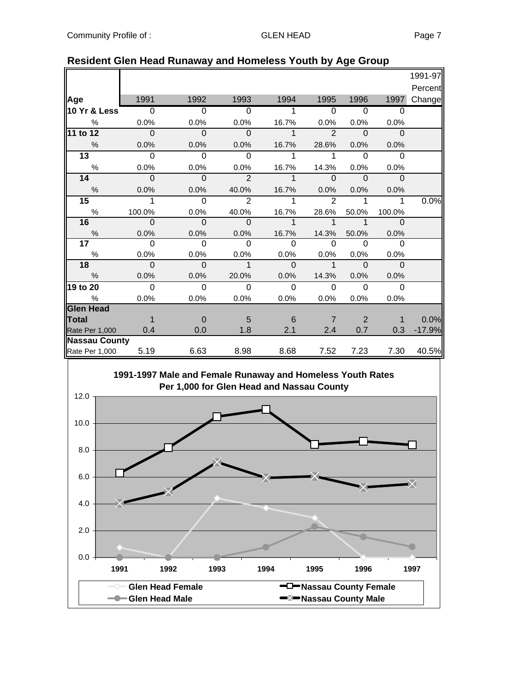|                      |                |                |                |                |                     |                |              | 1991-97  |
|----------------------|----------------|----------------|----------------|----------------|---------------------|----------------|--------------|----------|
|                      |                |                |                |                |                     |                |              | Percent  |
| Age                  | 1991           | 1992           | 1993           | 1994           | 1995                | 1996           | 1997         | Change   |
| 10 Yr & Less         | $\overline{0}$ | $\overline{0}$ | $\Omega$       | 1              | $\overline{0}$      | $\overline{0}$ | $\Omega$     |          |
| %                    | 0.0%           | 0.0%           | 0.0%           | 16.7%          | 0.0%                | 0.0%           | 0.0%         |          |
| 11 to 12             | $\Omega$       | $\Omega$       | $\mathbf{0}$   | 1              | $\mathfrak{p}$      | $\Omega$       | $\Omega$     |          |
| %                    | 0.0%           | 0.0%           | 0.0%           | 16.7%          | 28.6%               | 0.0%           | 0.0%         |          |
| $\overline{13}$      | $\Omega$       | $\Omega$       | $\Omega$       |                | 1                   | $\Omega$       | $\Omega$     |          |
| $\%$                 | 0.0%           | 0.0%           | 0.0%           | 16.7%          | 14.3%               | 0.0%           | 0.0%         |          |
| 14                   | $\mathbf 0$    | $\mathbf 0$    | $\overline{2}$ | 1              | $\mathbf{0}$        | $\Omega$       | $\mathbf{0}$ |          |
| $\%$                 | 0.0%           | 0.0%           | 40.0%          | 16.7%          | 0.0%                | 0.0%           | 0.0%         |          |
| 15                   | 1              | $\Omega$       | $\overline{2}$ | 1              | $\overline{2}$      | 1              | 1            | 0.0%     |
| %                    | 100.0%         | 0.0%           | 40.0%          | 16.7%          | 28.6%               | 50.0%          | 100.0%       |          |
| 16                   | $\overline{0}$ | $\overline{0}$ | ം              | $\overline{1}$ | $\overline{1}$      | 1              | $\Omega$     |          |
| $\frac{9}{6}$        | 0.0%           | 0.0%           | 0.0%           | 16.7%          | 14.3%               | 50.0%          | 0.0%         |          |
| 17 <sub>1</sub>      | $\Omega$       | $\Omega$       | $\Omega$       | $\Omega$       | $\Omega$            | $\Omega$       | $\Omega$     |          |
| $\%$                 | 0.0%           | 0.0%           | 0.0%           | 0.0%           | 0.0%                | 0.0%           | 0.0%         |          |
| 18                   | $\Omega$       | $\Omega$       | $\mathbf 1$    | $\Omega$       | $\ddot{\mathbf{1}}$ | $\Omega$       | $\Omega$     |          |
| $\%$                 | 0.0%           | 0.0%           | 20.0%          | 0.0%           | 14.3%               | 0.0%           | 0.0%         |          |
| 19 to 20             | $\Omega$       | $\Omega$       | $\Omega$       | $\Omega$       | $\Omega$            | $\Omega$       | $\Omega$     |          |
| %                    | 0.0%           | 0.0%           | 0.0%           | 0.0%           | $0.0\%$             | 0.0%           | 0.0%         |          |
| <b>Glen Head</b>     |                |                |                |                |                     |                |              |          |
| Total                | $\mathbf 1$    | $\Omega$       | 5              | 6              | $\overline{7}$      | 2              | $\mathbf 1$  | 0.0%     |
| Rate Per 1,000       | 0.4            | 0.0            | 1.8            | 2.1            | 2.4                 | 0.7            | 0.3          | $-17.9%$ |
| <b>Nassau County</b> |                |                |                |                |                     |                |              |          |
| Rate Per 1,000       | 5.19           | 6.63           | 8.98           | 8.68           | 7.52                | 7.23           | 7.30         | 40.5%    |

### **Resident Glen Head Runaway and Homeless Youth by Age Group**

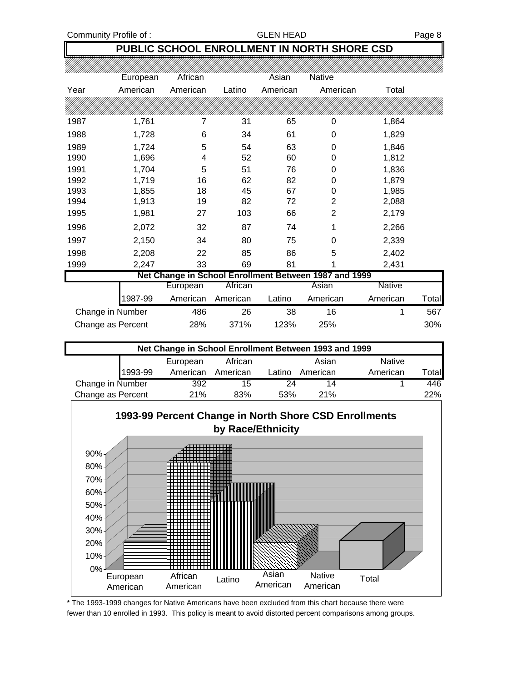Community Profile of : GLEN HEAD GEEN HEAD Page 8

## **PUBLIC SCHOOL ENROLLMENT IN NORTH SHORE CSD**

|                   | European | African  |          | Asian    | <b>Native</b>                                         |               |       |
|-------------------|----------|----------|----------|----------|-------------------------------------------------------|---------------|-------|
| Year              | American | American | Latino   | American | American                                              | Total         |       |
|                   |          |          |          |          |                                                       |               |       |
| 1987              | 1,761    | 7        | 31       | 65       | 0                                                     | 1,864         |       |
| 1988              | 1,728    | 6        | 34       | 61       | 0                                                     | 1,829         |       |
| 1989              | 1,724    | 5        | 54       | 63       | 0                                                     | 1,846         |       |
| 1990              | 1,696    | 4        | 52       | 60       | 0                                                     | 1,812         |       |
| 1991              | 1,704    | 5        | 51       | 76       | 0                                                     | 1,836         |       |
| 1992              | 1,719    | 16       | 62       | 82       | 0                                                     | 1,879         |       |
| 1993              | 1,855    | 18       | 45       | 67       | 0                                                     | 1,985         |       |
| 1994              | 1,913    | 19       | 82       | 72       | 2                                                     | 2,088         |       |
| 1995              | 1,981    | 27       | 103      | 66       | 2                                                     | 2,179         |       |
| 1996              | 2,072    | 32       | 87       | 74       | 1                                                     | 2,266         |       |
| 1997              | 2,150    | 34       | 80       | 75       | 0                                                     | 2,339         |       |
| 1998              | 2,208    | 22       | 85       | 86       | 5                                                     | 2,402         |       |
| 1999              | 2,247    | 33       | 69       | 81       | 1                                                     | 2,431         |       |
|                   |          |          |          |          | Net Change in School Enrollment Between 1987 and 1999 |               |       |
|                   |          | European | African  |          | Asian                                                 | <b>Native</b> |       |
|                   | 1987-99  | American | American | Latino   | American                                              | American      | Total |
| Change in Number  |          | 486      | 26       | 38       | 16                                                    | 1             | 567   |
| Change as Percent |          | 28%      | 371%     | 123%     | 25%                                                   |               | 30%   |

| Net Change in School Enrollment Between 1993 and 1999 |          |          |        |          |               |                |
|-------------------------------------------------------|----------|----------|--------|----------|---------------|----------------|
|                                                       | European | African  |        | Asian    | <b>Native</b> |                |
| 1993-99                                               | American | American | Latino | American | American      | ™otal <b>i</b> |
| Change in Number                                      | 392      | 15       | 24     | 14       |               | 446            |
| Change as Percent                                     | 21%      | 83%      | 53%    | 21%      |               | <b>22%</b>     |



\* The 1993-1999 changes for Native Americans have been excluded from this chart because there were fewer than 10 enrolled in 1993. This policy is meant to avoid distorted percent comparisons among groups.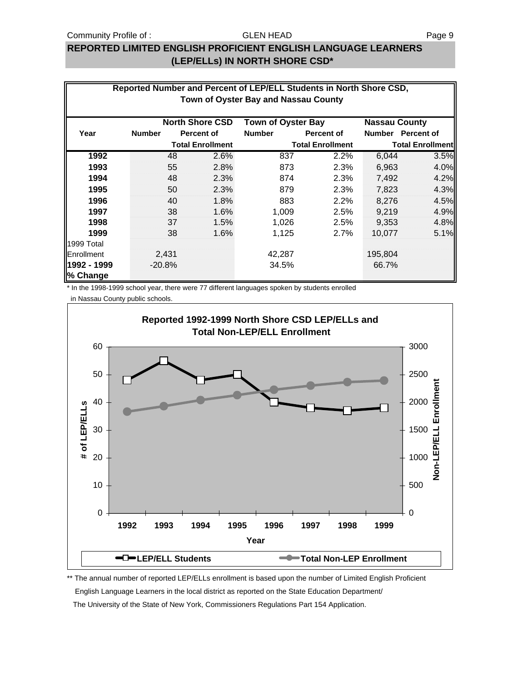#### Community Profile of : GLEN HEAD GEEN HEAD

#### GLEN HEAD

### **REPORTED LIMITED ENGLISH PROFICIENT ENGLISH LANGUAGE LEARNERS (LEP/ELLs) IN NORTH SHORE CSD\***

|                         | Reported Number and Percent of LEP/ELL Students in North Shore CSD,<br>Town of Oyster Bay and Nassau County |          |                         |                           |                         |                      |                         |  |
|-------------------------|-------------------------------------------------------------------------------------------------------------|----------|-------------------------|---------------------------|-------------------------|----------------------|-------------------------|--|
|                         |                                                                                                             |          | <b>North Shore CSD</b>  | <b>Town of Oyster Bay</b> |                         | <b>Nassau County</b> |                         |  |
| Year                    | <b>Number</b>                                                                                               |          | <b>Percent of</b>       | <b>Number</b>             | <b>Percent of</b>       |                      | Number Percent of       |  |
|                         |                                                                                                             |          | <b>Total Enrollment</b> |                           | <b>Total Enrollment</b> |                      | <b>Total Enrollment</b> |  |
| 1992                    |                                                                                                             | 48       | 2.6%                    | 837                       | 2.2%                    | 6,044                | 3.5%                    |  |
| 1993                    |                                                                                                             | 55       | 2.8%                    | 873                       | 2.3%                    | 6,963                | 4.0%                    |  |
| 1994                    |                                                                                                             | 48       | 2.3%                    | 874                       | 2.3%                    | 7,492                | 4.2%                    |  |
| 1995                    |                                                                                                             | 50       | 2.3%                    | 879                       | 2.3%                    | 7,823                | 4.3%                    |  |
| 1996                    |                                                                                                             | 40       | 1.8%                    | 883                       | 2.2%                    | 8,276                | 4.5%                    |  |
| 1997                    |                                                                                                             | 38       | 1.6%                    | 1,009                     | 2.5%                    | 9,219                | 4.9%                    |  |
| 1998                    |                                                                                                             | 37       | 1.5%                    | 1,026                     | 2.5%                    | 9,353                | 4.8%                    |  |
| 1999                    |                                                                                                             | 38       | 1.6%                    | 1,125                     | 2.7%                    | 10,077               | 5.1%                    |  |
| 1999 Total              |                                                                                                             |          |                         |                           |                         |                      |                         |  |
| Enrollment              |                                                                                                             | 2,431    |                         | 42,287                    |                         | 195,804              |                         |  |
| 1992 - 1999<br>% Change |                                                                                                             | $-20.8%$ |                         | 34.5%                     |                         | 66.7%                |                         |  |

\* In the 1998-1999 school year, there were 77 different languages spoken by students enrolled

in Nassau County public schools.



\*\* The annual number of reported LEP/ELLs enrollment is based upon the number of Limited English Proficient English Language Learners in the local district as reported on the State Education Department/ The University of the State of New York, Commissioners Regulations Part 154 Application.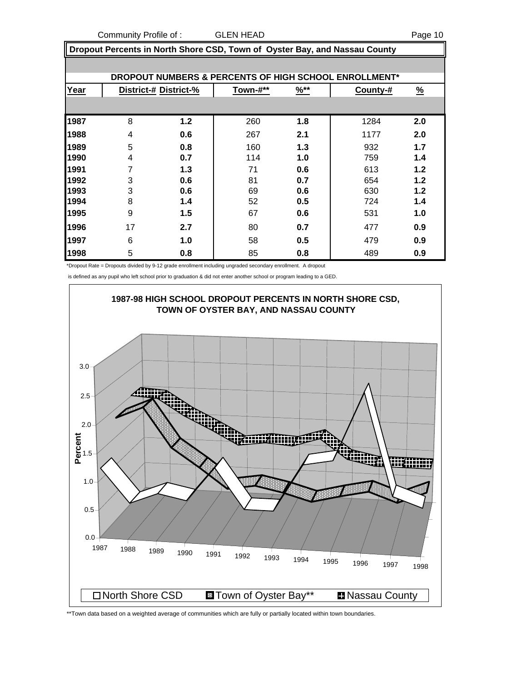Community Profile of : GLEN HEAD Page 10

 **Dropout Percents in North Shore CSD, Town of Oyster Bay, and Nassau County**

|      |    |                       |          |                  | DROPOUT NUMBERS & PERCENTS OF HIGH SCHOOL ENROLLMENT* |               |
|------|----|-----------------------|----------|------------------|-------------------------------------------------------|---------------|
| Year |    | District-# District-% | Town-#** | $\frac{96**}{8}$ | County-#                                              | $\frac{9}{6}$ |
|      |    |                       |          |                  |                                                       |               |
| 1987 | 8  | 1.2                   | 260      | 1.8              | 1284                                                  | 2.0           |
| 1988 | 4  | 0.6                   | 267      | 2.1              | 1177                                                  | 2.0           |
| 1989 | 5  | 0.8                   | 160      | 1.3              | 932                                                   | 1.7           |
| 1990 | 4  | 0.7                   | 114      | 1.0              | 759                                                   | 1.4           |
| 1991 | 7  | 1.3                   | 71       | 0.6              | 613                                                   | 1.2           |
| 1992 | 3  | 0.6                   | 81       | 0.7              | 654                                                   | 1.2           |
| 1993 | 3  | 0.6                   | 69       | 0.6              | 630                                                   | 1.2           |
| 1994 | 8  | 1.4                   | 52       | 0.5              | 724                                                   | 1.4           |
| 1995 | 9  | 1.5                   | 67       | 0.6              | 531                                                   | 1.0           |
| 1996 | 17 | 2.7                   | 80       | 0.7              | 477                                                   | 0.9           |
| 1997 | 6  | 1.0                   | 58       | 0.5              | 479                                                   | 0.9           |
| 1998 | 5  | 0.8                   | 85       | 0.8              | 489                                                   | 0.9           |

\*Dropout Rate = Dropouts divided by 9-12 grade enrollment including ungraded secondary enrollment. A dropout

is defined as any pupil who left school prior to graduation & did not enter another school or program leading to a GED.



\*\*Town data based on a weighted average of communities which are fully or partially located within town boundaries.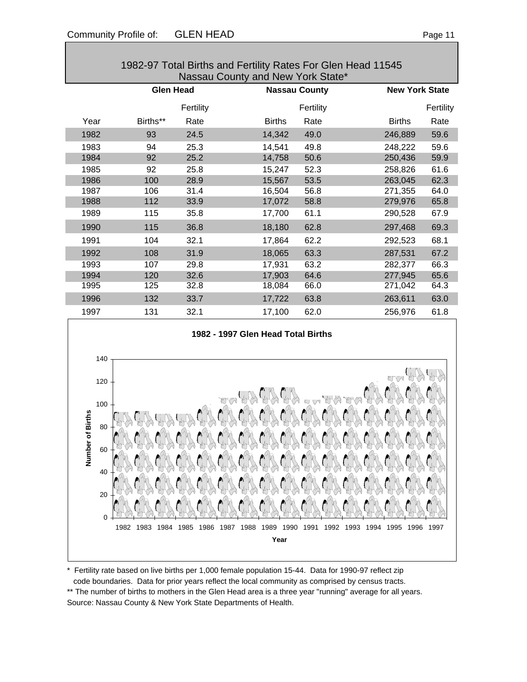|      |                  |           | <b>1902-97 TULAI DITITIS ANU FERINTY INAGS FUL OIGHT REAU TTU4J</b><br>Nassau County and New York State* |                      |                       |           |
|------|------------------|-----------|----------------------------------------------------------------------------------------------------------|----------------------|-----------------------|-----------|
|      | <b>Glen Head</b> |           |                                                                                                          | <b>Nassau County</b> | <b>New York State</b> |           |
|      |                  | Fertility |                                                                                                          | Fertility            |                       | Fertility |
| Year | Births**         | Rate      | <b>Births</b>                                                                                            | Rate                 | <b>Births</b>         | Rate      |
| 1982 | 93               | 24.5      | 14,342                                                                                                   | 49.0                 | 246,889               | 59.6      |
| 1983 | 94               | 25.3      | 14,541                                                                                                   | 49.8                 | 248,222               | 59.6      |
| 1984 | 92               | 25.2      | 14,758                                                                                                   | 50.6                 | 250,436               | 59.9      |
| 1985 | 92               | 25.8      | 15,247                                                                                                   | 52.3                 | 258,826               | 61.6      |
| 1986 | 100              | 28.9      | 15,567                                                                                                   | 53.5                 | 263,045               | 62.3      |
| 1987 | 106              | 31.4      | 16,504                                                                                                   | 56.8                 | 271,355               | 64.0      |
| 1988 | 112              | 33.9      | 17,072                                                                                                   | 58.8                 | 279,976               | 65.8      |
| 1989 | 115              | 35.8      | 17,700                                                                                                   | 61.1                 | 290,528               | 67.9      |
| 1990 | 115              | 36.8      | 18,180                                                                                                   | 62.8                 | 297,468               | 69.3      |
| 1991 | 104              | 32.1      | 17,864                                                                                                   | 62.2                 | 292,523               | 68.1      |
| 1992 | 108              | 31.9      | 18,065                                                                                                   | 63.3                 | 287,531               | 67.2      |
| 1993 | 107              | 29.8      | 17,931                                                                                                   | 63.2                 | 282,377               | 66.3      |
| 1994 | 120              | 32.6      | 17,903                                                                                                   | 64.6                 | 277,945               | 65.6      |
| 1995 | 125              | 32.8      | 18,084                                                                                                   | 66.0                 | 271,042               | 64.3      |
| 1996 | 132              | 33.7      | 17,722                                                                                                   | 63.8                 | 263,611               | 63.0      |
| 1997 | 131              | 32.1      | 17,100                                                                                                   | 62.0                 | 256,976               | 61.8      |

## 1982-97 Total Births and Fertility Rates For Glen Head 11545





\* Fertility rate based on live births per 1,000 female population 15-44. Data for 1990-97 reflect zip code boundaries. Data for prior years reflect the local community as comprised by census tracts. \*\* The number of births to mothers in the Glen Head area is a three year "running" average for all years. Source: Nassau County & New York State Departments of Health.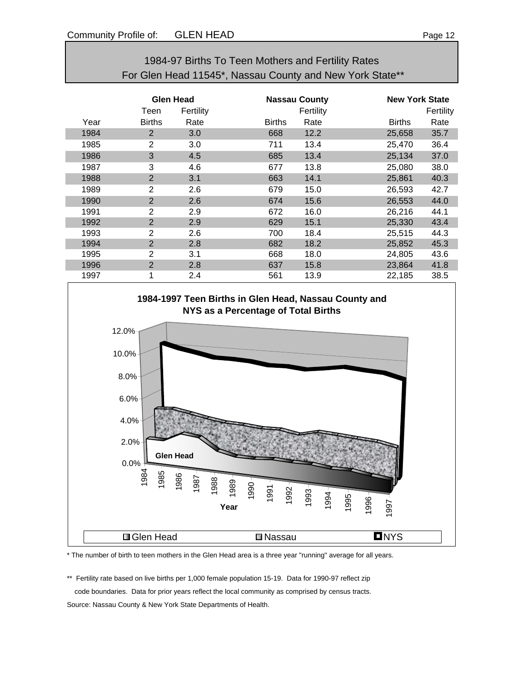## 1984-97 Births To Teen Mothers and Fertility Rates For Glen Head 11545\*, Nassau County and New York State\*\*

|      | Glen Head<br>Fertility<br>Teen |      |               | <b>Nassau County</b><br>Fertility |               | <b>New York State</b><br>Fertility |  |
|------|--------------------------------|------|---------------|-----------------------------------|---------------|------------------------------------|--|
| Year | <b>Births</b>                  | Rate | <b>Births</b> | Rate                              | <b>Births</b> | Rate                               |  |
| 1984 | $\overline{2}$                 | 3.0  | 668           | 12.2                              | 25,658        | 35.7                               |  |
| 1985 | $\overline{2}$                 | 3.0  | 711           | 13.4                              | 25,470        | 36.4                               |  |
| 1986 | 3                              | 4.5  | 685           | 13.4                              | 25,134        | 37.0                               |  |
| 1987 | 3                              | 4.6  | 677           | 13.8                              | 25,080        | 38.0                               |  |
| 1988 | $\overline{2}$                 | 3.1  | 663           | 14.1                              | 25,861        | 40.3                               |  |
| 1989 | 2                              | 2.6  | 679           | 15.0                              | 26,593        | 42.7                               |  |
| 1990 | $\overline{2}$                 | 2.6  | 674           | 15.6                              | 26,553        | 44.0                               |  |
| 1991 | $\overline{2}$                 | 2.9  | 672           | 16.0                              | 26,216        | 44.1                               |  |
| 1992 | $\overline{2}$                 | 2.9  | 629           | 15.1                              | 25,330        | 43.4                               |  |
| 1993 | $\overline{2}$                 | 2.6  | 700           | 18.4                              | 25,515        | 44.3                               |  |
| 1994 | $\overline{2}$                 | 2.8  | 682           | 18.2                              | 25,852        | 45.3                               |  |
| 1995 | $\overline{2}$                 | 3.1  | 668           | 18.0                              | 24,805        | 43.6                               |  |
| 1996 | $\overline{2}$                 | 2.8  | 637           | 15.8                              | 23,864        | 41.8                               |  |
| 1997 | 1                              | 2.4  | 561           | 13.9                              | 22,185        | 38.5                               |  |



\* The number of birth to teen mothers in the Glen Head area is a three year "running" average for all years.

\*\* Fertility rate based on live births per 1,000 female population 15-19. Data for 1990-97 reflect zip code boundaries. Data for prior years reflect the local community as comprised by census tracts.